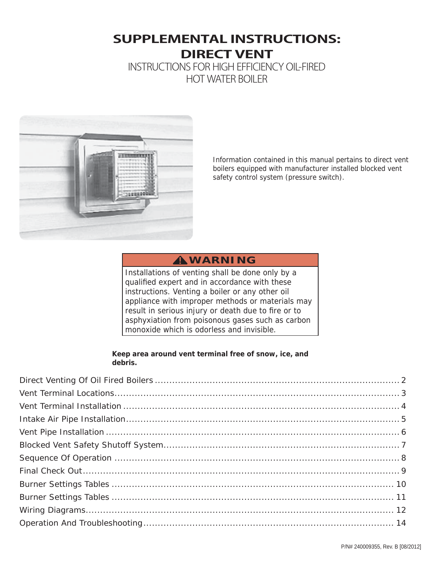# **SUPPLEMENTAL INSTRUCTIONS: DIRECT VENT**

INSTRUCTIONS FOR HIGH EFFICIENCY OIL-FIRED HOT WATER BOILER



Information contained in this manual pertains to direct vent boilers equipped with manufacturer installed blocked vent safety control system (pressure switch).

# **WARNING !**

Installations of venting shall be done only by a qualified expert and in accordance with these instructions. Venting a boiler or any other oil appliance with improper methods or materials may result in serious injury or death due to fire or to asphyxiation from poisonous gases such as carbon monoxide which is odorless and invisible.

#### **Keep area around vent terminal free of snow, ice, and debris.**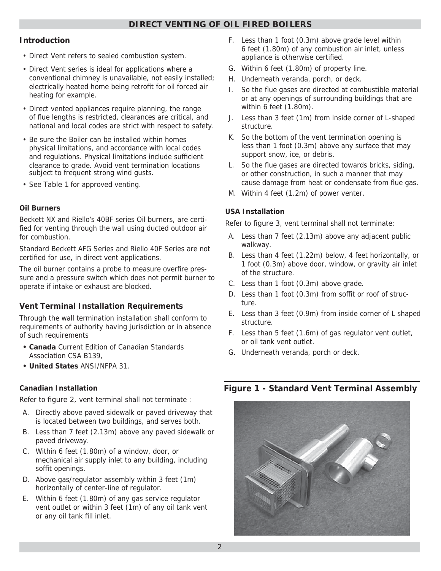#### **DIRECT VENTING OF OIL FIRED BOILERS**

#### **Introduction**

- Direct Vent refers to sealed combustion system.
- Direct Vent series is ideal for applications where a conventional chimney is unavailable, not easily installed; electrically heated home being retrofit for oil forced air heating for example.
- Direct vented appliances require planning, the range of flue lengths is restricted, clearances are critical, and national and local codes are strict with respect to safety.
- Be sure the Boiler can be installed within homes physical limitations, and accordance with local codes and regulations. Physical limitations include sufficient clearance to grade. Avoid vent termination locations subject to frequent strong wind gusts.
- See Table 1 for approved venting.

#### **Oil Burners**

Beckett NX and Riello's 40BF series Oil burners, are certified for venting through the wall using ducted outdoor air for combustion.

Standard Beckett AFG Series and Riello 40F Series are not certified for use, in direct vent applications.

The oil burner contains a probe to measure overfire pressure and a pressure switch which does not permit burner to operate if intake or exhaust are blocked.

## **Vent Terminal Installation Requirements**

Through the wall termination installation shall conform to requirements of authority having jurisdiction or in absence of such requirements

- **Canada** Current Edition of Canadian Standards Association CSA B139,
- **United States** ANSI/NFPA 31.

#### **Canadian Installation**

Refer to figure 2, vent terminal shall not terminate :

- A. Directly above paved sidewalk or paved driveway that is located between two buildings, and serves both.
- B. Less than 7 feet (2.13m) above any paved sidewalk or paved driveway.
- C. Within 6 feet (1.80m) of a window, door, or mechanical air supply inlet to any building, including soffit openings.
- D. Above gas/regulator assembly within 3 feet (1m) horizontally of center-line of regulator.
- E. Within 6 feet (1.80m) of any gas service regulator vent outlet or within 3 feet (1m) of any oil tank vent or any oil tank fill inlet.
- F. Less than 1 foot (0.3m) above grade level within 6 feet (1.80m) of any combustion air inlet, unless appliance is otherwise certified.
- G. Within 6 feet (1.80m) of property line.
- H. Underneath veranda, porch, or deck.
- I. So the flue gases are directed at combustible material or at any openings of surrounding buildings that are within 6 feet (1.80m).
- J. Less than 3 feet (1m) from inside corner of L-shaped structure.
- K. So the bottom of the vent termination opening is less than 1 foot (0.3m) above any surface that may support snow, ice, or debris.
- L. So the flue gases are directed towards bricks, siding, or other construction, in such a manner that may cause damage from heat or condensate from flue gas.
- M. Within 4 feet (1.2m) of power venter.

#### **USA Installation**

Refer to figure 3, vent terminal shall not terminate:

- A. Less than 7 feet (2.13m) above any adjacent public walkway.
- B. Less than 4 feet (1.22m) below, 4 feet horizontally, or 1 foot (0.3m) above door, window, or gravity air inlet of the structure.
- C. Less than 1 foot (0.3m) above grade.
- D. Less than 1 foot (0.3m) from soffit or roof of structure.
- E. Less than 3 feet (0.9m) from inside corner of L shaped structure.
- F. Less than 5 feet (1.6m) of gas regulator vent outlet, or oil tank vent outlet.
- G. Underneath veranda, porch or deck.

# **Figure 1 - Standard Vent Terminal Assembly**

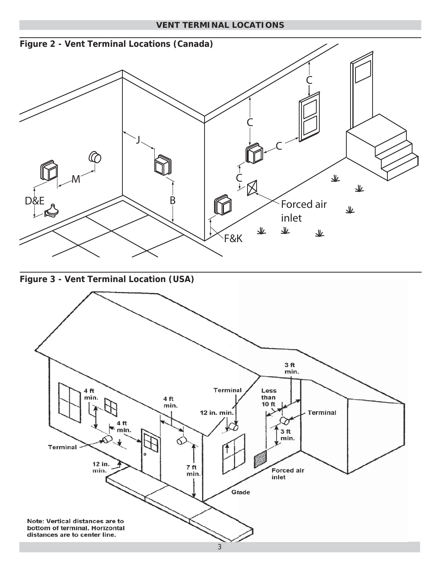



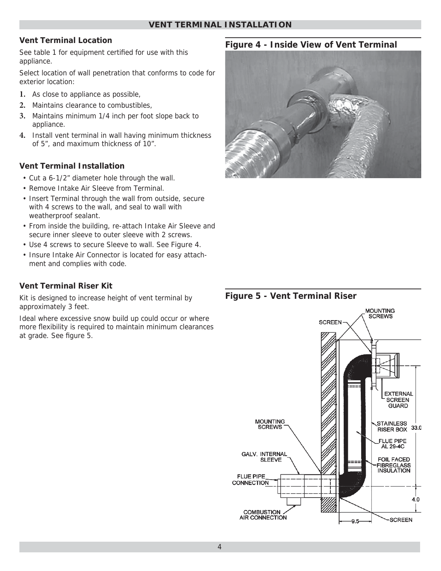#### **VENT TERMINAL INSTALLATION**

#### **Vent Terminal Location**

See table 1 for equipment certified for use with this appliance.

Select location of wall penetration that conforms to code for exterior location:

- **1.** As close to appliance as possible,
- **2.** Maintains clearance to combustibles,
- **3.** Maintains minimum 1/4 inch per foot slope back to appliance.
- **4.** Install vent terminal in wall having minimum thickness of 5", and maximum thickness of 10".

#### **Vent Terminal Installation**

- Cut a 6-1/2" diameter hole through the wall.
- Remove Intake Air Sleeve from Terminal.
- Insert Terminal through the wall from outside, secure with 4 screws to the wall, and seal to wall with weatherproof sealant.
- From inside the building, re-attach Intake Air Sleeve and secure inner sleeve to outer sleeve with 2 screws.
- Use 4 screws to secure Sleeve to wall. See Figure 4.
- Insure Intake Air Connector is located for easy attachment and complies with code.

#### **Vent Terminal Riser Kit**

Kit is designed to increase height of vent terminal by approximately 3 feet.

Ideal where excessive snow build up could occur or where more flexibility is required to maintain minimum clearances at grade. See figure 5.

### **Figure 4 - Inside View of Vent Terminal**



## **Figure 5 - Vent Terminal Riser**

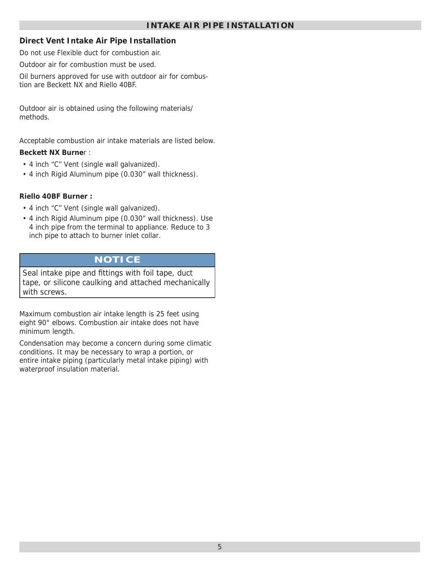## **Direct Vent Intake Air Pipe Installation**

Do not use Flexible duct for combustion air.

Outdoor air for combustion must be used.

Oil burners approved for use with outdoor air for combustion are Beckett NX and Riello 40BF.

Outdoor air is obtained using the following materials/ methods.

Acceptable combustion air intake materials are listed below.

### *Beckett NX Burne*r :

- 4 inch "C" Vent (single wall galvanized).
- 4 inch Rigid Aluminum pipe (0.030" wall thickness).

### *Riello 40BF Burner :*

- 4 inch "C" Vent (single wall galvanized).
- 4 inch Rigid Aluminum pipe (0.030" wall thickness). Use 4 inch pipe from the terminal to appliance. Reduce to 3 inch pipe to attach to burner inlet collar.

# **NOTICE**

Seal intake pipe and fittings with foil tape, duct tape, or silicone caulking and attached mechanically with screws.

Maximum combustion air intake length is 25 feet using eight 90° elbows. Combustion air intake does not have minimum length.

Condensation may become a concern during some climatic conditions. It may be necessary to wrap a portion, or entire intake piping (particularly metal intake piping) with waterproof insulation material.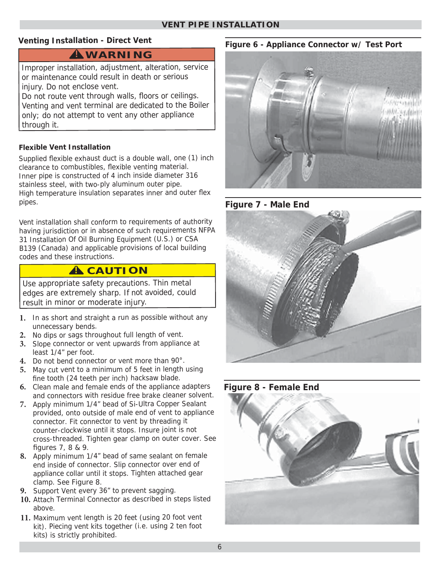#### **VENT PIPE INSTALLATION**

### **Venting Installation - Direct Vent**

### **WARNING !**

Improper installation, adjustment, alteration, service or maintenance could result in death or serious injury. Do not enclose vent.

Do not route vent through walls, floors or ceilings. Venting and vent terminal are dedicated to the Boiler only; do not attempt to vent any other appliance through it.

#### **Flexible Vent Installation**

Supplied flexible exhaust duct is a double wall, one (1) inch clearance to combustibles, flexible venting material. Inner pipe is constructed of 4 inch inside diameter 316 stainless steel, with two-ply aluminum outer pipe. High temperature insulation separates inner and outer flex pipes.

Vent installation shall conform to requirements of authority having jurisdiction or in absence of such requirements NFPA 31 Installation Of Oil Burning Equipment (U.S.) or CSA B139 (Canada) and applicable provisions of local building codes and these instructions.

# **A** CAUTION

Use appropriate safety precautions. Thin metal edges are extremely sharp. If not avoided, could result in minor or moderate injury.

- **1.** In as short and straight a run as possible without any unnecessary bends.
- **2.** No dips or sags throughout full length of vent.
- **3.** Slope connector or vent upwards from appliance at least 1/4" per foot.
- **4.** Do not bend connector or vent more than 90°.
- **5.** May cut vent to a minimum of 5 feet in length using fine tooth (24 teeth per inch) hacksaw blade.
- **6.** Clean male and female ends of the appliance adapters and connectors with residue free brake cleaner solvent.
- **7.** Apply minimum 1/4" bead of Si-Ultra Copper Sealant provided, onto outside of male end of vent to appliance connector. Fit connector to vent by threading it counter-clockwise until it stops. Insure joint is not cross-threaded. Tighten gear clamp on outer cover. See figures 7, 8 & 9.
- **8.** Apply minimum 1/4" bead of same sealant on female end inside of connector. Slip connector over end of appliance collar until it stops. Tighten attached gear clamp. See Figure 8.
- **9.** Support Vent every 36" to prevent sagging.
- **10.** Attach Terminal Connector as described in steps listed above.
- **11.** Maximum vent length is 20 feet (using 20 foot vent kit). Piecing vent kits together (i.e. using 2 ten foot kits) is strictly prohibited.

### **Figure 6 - Appliance Connector w/ Test Port**









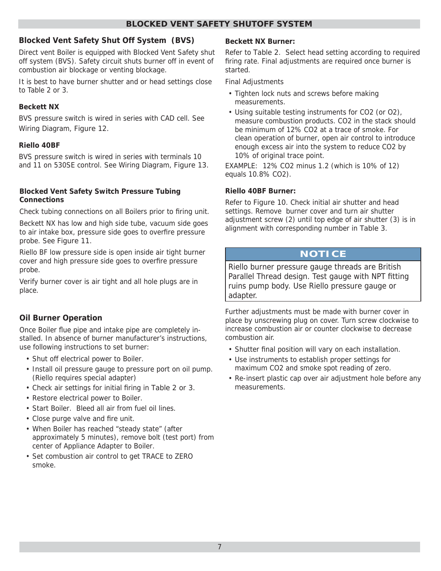#### **BLOCKED VENT SAFETY SHUTOFF SYSTEM**

### **Blocked Vent Safety Shut Off System (BVS)**

Direct vent Boiler is equipped with Blocked Vent Safety shut off system (BVS). Safety circuit shuts burner off in event of combustion air blockage or venting blockage.

It is best to have burner shutter and or head settings close to Table 2 or 3.

#### **Beckett NX**

BVS pressure switch is wired in series with CAD cell. See Wiring Diagram, Figure 12.

#### **Riello 40BF**

BVS pressure switch is wired in series with terminals 10 and 11 on 530SE control. See Wiring Diagram, Figure 13.

#### **Blocked Vent Safety Switch Pressure Tubing Connections**

Check tubing connections on all Boilers prior to firing unit.

Beckett NX has low and high side tube, vacuum side goes to air intake box, pressure side goes to overfire pressure probe. See Figure 11.

Riello BF low pressure side is open inside air tight burner cover and high pressure side goes to overfire pressure probe.

Verify burner cover is air tight and all hole plugs are in place.

## **Oil Burner Operation**

Once Boiler flue pipe and intake pipe are completely installed. In absence of burner manufacturer's instructions, use following instructions to set burner:

- Shut off electrical power to Boiler.
- Install oil pressure gauge to pressure port on oil pump. (Riello requires special adapter)
- Check air settings for initial firing in Table 2 or 3.
- Restore electrical power to Boiler.
- Start Boiler. Bleed all air from fuel oil lines.
- Close purge valve and fire unit.
- When Boiler has reached "steady state" (after approximately 5 minutes), remove bolt (test port) from center of Appliance Adapter to Boiler.
- Set combustion air control to get TRACE to ZERO smoke.

#### **Beckett NX Burner:**

Refer to Table 2. Select head setting according to required firing rate. Final adjustments are required once burner is started.

Final Adjustments

- Tighten lock nuts and screws before making measurements.
- Using suitable testing instruments for CO2 (or O2), measure combustion products. CO2 in the stack should be minimum of 12% CO2 at a trace of smoke. For clean operation of burner, open air control to introduce enough excess air into the system to reduce CO2 by 10% of original trace point.

EXAMPLE: 12% CO2 minus 1.2 (which is 10% of 12) equals 10.8% CO2).

#### **Riello 40BF Burner:**

Refer to Figure 10. Check initial air shutter and head settings. Remove burner cover and turn air shutter adjustment screw (2) until top edge of air shutter (3) is in alignment with corresponding number in Table 3.

# **NOTICE**

Riello burner pressure gauge threads are British Parallel Thread design. Test gauge with NPT fitting ruins pump body. Use Riello pressure gauge or adapter.

Further adjustments must be made with burner cover in place by unscrewing plug on cover. Turn screw clockwise to increase combustion air or counter clockwise to decrease combustion air.

- Shutter final position will vary on each installation.
- Use instruments to establish proper settings for maximum CO2 and smoke spot reading of zero.
- Re-insert plastic cap over air adjustment hole before any measurements.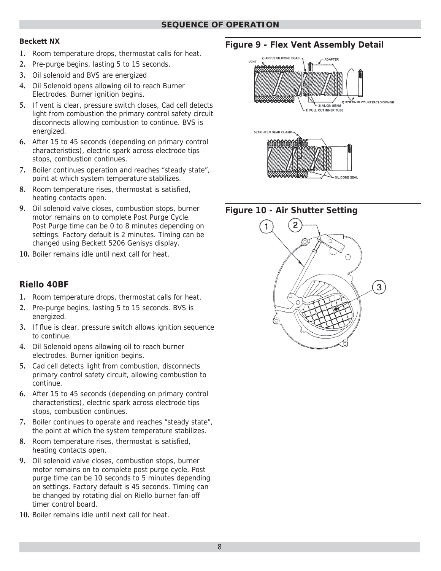#### **SEQUENCE OF OPERATION**

#### **Beckett NX**

- **1.** Room temperature drops, thermostat calls for heat.
- **2.** Pre-purge begins, lasting 5 to 15 seconds.
- **3.** Oil solenoid and BVS are energized
- **4.** Oil Solenoid opens allowing oil to reach Burner Electrodes. Burner ignition begins.
- **5.** If vent is clear, pressure switch closes, Cad cell detects light from combustion the primary control safety circuit disconnects allowing combustion to continue. BVS is energized.
- **6.** After 15 to 45 seconds (depending on primary control characteristics), electric spark across electrode tips stops, combustion continues.
- **7.** Boiler continues operation and reaches "steady state", point at which system temperature stabilizes.
- **8.** Room temperature rises, thermostat is satisfied, heating contacts open.
- **9.** Oil solenoid valve closes, combustion stops, burner motor remains on to complete Post Purge Cycle. Post Purge time can be 0 to 8 minutes depending on settings. Factory default is 2 minutes. Timing can be changed using Beckett 5206 Genisys display.
- **10.** Boiler remains idle until next call for heat.

## **Riello 40BF**

- **1.** Room temperature drops, thermostat calls for heat.
- **2.** Pre-purge begins, lasting 5 to 15 seconds. BVS is energized.
- **3.** If flue is clear, pressure switch allows ignition sequence to continue.
- **4.** Oil Solenoid opens allowing oil to reach burner electrodes. Burner ignition begins.
- **5.** Cad cell detects light from combustion, disconnects primary control safety circuit, allowing combustion to continue.
- **6.** After 15 to 45 seconds (depending on primary control characteristics), electric spark across electrode tips stops, combustion continues.
- **7.** Boiler continues to operate and reaches "steady state", the point at which the system temperature stabilizes.
- **8.** Room temperature rises, thermostat is satisfied, heating contacts open.
- **9.** Oil solenoid valve closes, combustion stops, burner motor remains on to complete post purge cycle. Post purge time can be 10 seconds to 5 minutes depending on settings. Factory default is 45 seconds. Timing can be changed by rotating dial on Riello burner fan-off timer control board.
- **10.** Boiler remains idle until next call for heat.

# **Figure 9 - Flex Vent Assembly Detail**



# **Figure 10 - Air Shutter Setting**

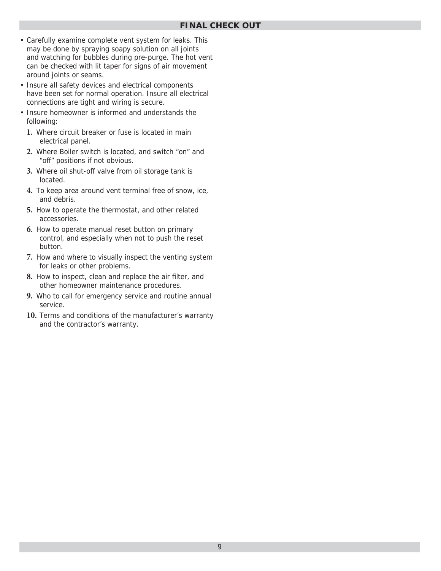- Carefully examine complete vent system for leaks. This may be done by spraying soapy solution on all joints and watching for bubbles during pre-purge. The hot vent can be checked with lit taper for signs of air movement around joints or seams.
- Insure all safety devices and electrical components have been set for normal operation. Insure all electrical connections are tight and wiring is secure.
- Insure homeowner is informed and understands the following:
	- **1.** Where circuit breaker or fuse is located in main electrical panel.
	- **2.** Where Boiler switch is located, and switch "on" and "off" positions if not obvious.
	- **3.** Where oil shut-off valve from oil storage tank is located.
	- **4.** To keep area around vent terminal free of snow, ice, and debris.
	- **5.** How to operate the thermostat, and other related accessories.
	- **6.** How to operate manual reset button on primary control, and especially when not to push the reset button.
	- **7.** How and where to visually inspect the venting system for leaks or other problems.
	- **8.** How to inspect, clean and replace the air filter, and other homeowner maintenance procedures.
	- **9.** Who to call for emergency service and routine annual service.
	- **10.** Terms and conditions of the manufacturer's warranty and the contractor's warranty.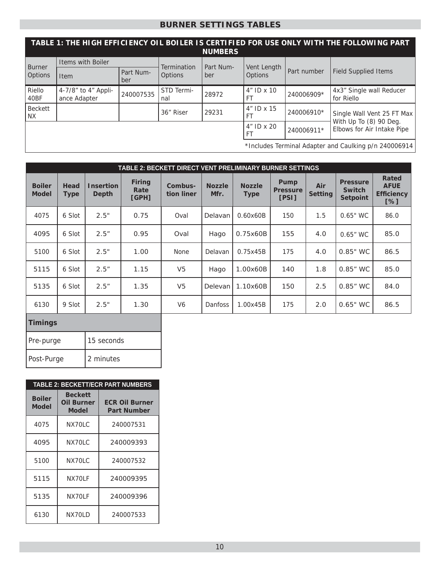# **BURNER SETTINGS TABLES**

| TABLE 1: THE HIGH EFFICIENCY OIL BOILER IS CERTIFIED FOR USE ONLY WITH THE FOLLOWING PART<br><b>NUMBERS</b> |                                     |                  |                   |           |                               |             |                                                      |  |
|-------------------------------------------------------------------------------------------------------------|-------------------------------------|------------------|-------------------|-----------|-------------------------------|-------------|------------------------------------------------------|--|
|                                                                                                             | I tems with Boiler                  |                  | Termination       | Part Num- |                               |             |                                                      |  |
| <b>Burner</b><br>Options                                                                                    | <b>Item</b>                         | Part Num-<br>ber | Options           | ber       | Vent Length<br><b>Options</b> | Part number | <b>Field Supplied Items</b>                          |  |
| Riello<br>40BF                                                                                              | 4-7/8" to 4" Appli-<br>ance Adapter | 240007535        | STD Termi-<br>nal | 28972     | $4"$ ID $\times$ 10<br>FT     | 240006909*  | 4x3" Single wall Reducer<br>for Riello               |  |
| <b>Beckett</b><br><b>NX</b>                                                                                 |                                     |                  | 36" Riser         | 29231     | $4"$ ID x 15<br>FΤ            | 240006910*  | Single Wall Vent 25 FT Max                           |  |
|                                                                                                             |                                     |                  |                   |           | $4"$ ID $\times$ 20           | 240006911*  | With Up To (8) 90 Deg.<br>Elbows for Air Intake Pipe |  |
| *Includes Terminal Adapter and Caulking p/n 240006914                                                       |                                     |                  |                   |           |                               |             |                                                      |  |

|                        | <b>TABLE 2: BECKETT DIRECT VENT PRELIMINARY BURNER SETTINGS</b> |                           |                                |                       |                       |                              |                                  |                       |                                                     |                                                         |
|------------------------|-----------------------------------------------------------------|---------------------------|--------------------------------|-----------------------|-----------------------|------------------------------|----------------------------------|-----------------------|-----------------------------------------------------|---------------------------------------------------------|
| <b>Boiler</b><br>Model | Head<br><b>Type</b>                                             | <b>Insertion</b><br>Depth | <b>Firing</b><br>Rate<br>[GPH] | Combus-<br>tion liner | <b>Nozzle</b><br>Mfr. | <b>Nozzle</b><br><b>Type</b> | Pump<br><b>Pressure</b><br>[PSI] | Air<br><b>Setting</b> | <b>Pressure</b><br><b>Switch</b><br><b>Setpoint</b> | <b>Rated</b><br><b>AFUE</b><br><b>Efficiency</b><br>[%] |
| 4075                   | 6 Slot                                                          | 2.5"                      | 0.75                           | Oval                  | Delavan               | 0.60x60B                     | 150                              | 1.5                   | $0.65"$ WC                                          | 86.0                                                    |
| 4095                   | 6 Slot                                                          | 2.5''                     | 0.95                           | Oval                  | Hago                  | 0.75x60B                     | 155                              | 4.0                   | $0.65"$ WC                                          | 85.0                                                    |
| 5100                   | 6 Slot                                                          | 2.5"                      | 1.00                           | None                  | Delavan               | 0.75x45B                     | 175                              | 4.0                   | 0.85" WC                                            | 86.5                                                    |
| 5115                   | 6 Slot                                                          | 2.5"                      | 1.15                           | V <sub>5</sub>        | Hago                  | 1.00x60B                     | 140                              | 1.8                   | $0.85"$ WC                                          | 85.0                                                    |
| 5135                   | 6 Slot                                                          | 2.5"                      | 1.35                           | V <sub>5</sub>        | Delevan               | 1.10x60B                     | 150                              | 2.5                   | 0.85" WC                                            | 84.0                                                    |
| 6130                   | 9 Slot                                                          | 2.5"                      | 1.30                           | V <sub>6</sub>        | Danfoss               | 1.00x45B                     | 175                              | 2.0                   | $0.65"$ WC                                          | 86.5                                                    |
|                        |                                                                 |                           |                                |                       |                       |                              |                                  |                       |                                                     |                                                         |

|  | <b>I</b> imings |  |  |
|--|-----------------|--|--|
|  |                 |  |  |
|  |                 |  |  |
|  |                 |  |  |

| Pre-purge  | 15 seconds |
|------------|------------|
| Post-Purge | 2 minutes  |

| <b>TABLE 2: BECKETT/ECR PART NUMBERS</b> |                                              |                                             |  |  |  |  |  |
|------------------------------------------|----------------------------------------------|---------------------------------------------|--|--|--|--|--|
| <b>Boiler</b><br><b>Model</b>            | <b>Beckett</b><br>Oil Burner<br><b>Model</b> | <b>ECR Oil Burner</b><br><b>Part Number</b> |  |  |  |  |  |
| 4075                                     | NX70LC                                       | 240007531                                   |  |  |  |  |  |
| 4095                                     | NX70LC                                       | 240009393                                   |  |  |  |  |  |
| 5100                                     | NX70LC                                       | 240007532                                   |  |  |  |  |  |
| 5115                                     | NX70IF                                       | 240009395                                   |  |  |  |  |  |
| 5135                                     | NX70LF                                       | 240009396                                   |  |  |  |  |  |
| 6130                                     | NX70LD                                       | 240007533                                   |  |  |  |  |  |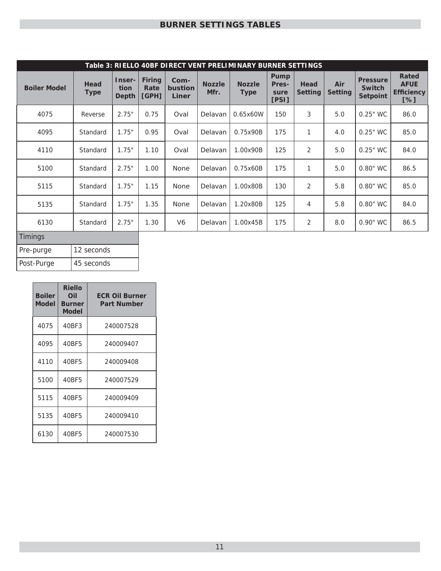# **BURNER SETTINGS TABLES**

| Table 3: RIELLO 40BF DIRECT VENT PRELIMINARY BURNER SETTINGS |                     |                                |                                |                                 |                       |                              |                                |                        |                       |                                                     |                                                            |
|--------------------------------------------------------------|---------------------|--------------------------------|--------------------------------|---------------------------------|-----------------------|------------------------------|--------------------------------|------------------------|-----------------------|-----------------------------------------------------|------------------------------------------------------------|
| <b>Boiler Model</b>                                          | Head<br><b>Type</b> | Inser-<br>tion<br><b>Depth</b> | <b>Firing</b><br>Rate<br>[GPH] | Com-<br><b>bustion</b><br>Liner | <b>Nozzle</b><br>Mfr. | <b>Nozzle</b><br><b>Type</b> | Pump<br>Pres-<br>sure<br>[PSI] | Head<br><b>Setting</b> | Air<br><b>Setting</b> | <b>Pressure</b><br><b>Switch</b><br><b>Setpoint</b> | <b>Rated</b><br><b>AFUE</b><br><b>Efficiency</b><br>$[\%]$ |
| 4075                                                         | Reverse             | 2.75"                          | 0.75                           | Oval                            | Delavan               | 0.65x60W                     | 150                            | 3                      | 5.0                   | $0.25"$ WC                                          | 86.0                                                       |
| 4095                                                         | Standard            | 1.75"                          | 0.95                           | Oval                            | Delavan               | 0.75x90B                     | 175                            | $\mathbf{1}$           | 4.0                   | $0.25"$ WC                                          | 85.0                                                       |
| 4110                                                         | Standard            | 1.75"                          | 1.10                           | Oval                            | Delavan               | 1.00x90B                     | 125                            | $\overline{2}$         | 5.0                   | $0.25"$ WC                                          | 84.0                                                       |
| 5100                                                         | Standard            | 2.75"                          | 1.00                           | None                            | Delavan               | 0.75x60B                     | 175                            | $\mathbf{1}$           | 5.0                   | $0.80"$ WC                                          | 86.5                                                       |
| 5115                                                         | Standard            | 1.75"                          | 1.15                           | None                            | Delavan               | 1.00x80B                     | 130                            | $\overline{2}$         | 5.8                   | 0.80" WC                                            | 85.0                                                       |
| 5135                                                         | Standard            | 1.75"                          | 1.35                           | None                            | Delavan               | 1.20x80B                     | 125                            | 4                      | 5.8                   | 0.80" WC                                            | 84.0                                                       |
| 6130                                                         | Standard            | 2.75"                          | 1.30                           | V <sub>6</sub>                  | Delavan               | 1.00x45B                     | 175                            | $\overline{2}$         | 8.0                   | 0.90" WC                                            | 86.5                                                       |
| <b>Timings</b>                                               |                     |                                |                                |                                 |                       |                              |                                |                        |                       |                                                     |                                                            |

| <b>Boiler</b><br><b>Model</b> | <b>Riello</b><br>Oil<br><b>Burner</b><br><b>Model</b> | <b>ECR Oil Burner</b><br><b>Part Number</b> |
|-------------------------------|-------------------------------------------------------|---------------------------------------------|
| 4075                          | 40BF3                                                 | 240007528                                   |
| 4095                          | 40BF5                                                 | 240009407                                   |
| 4110                          | 40BF5                                                 | 240009408                                   |
| 5100                          | 40BF5                                                 | 240007529                                   |
| 5115                          | 40BF5                                                 | 240009409                                   |
| 5135                          | 40BF5                                                 | 240009410                                   |
| 6130                          | 40BF5                                                 | 240007530                                   |

Pre-purge | 12 seconds Post-Purge 45 seconds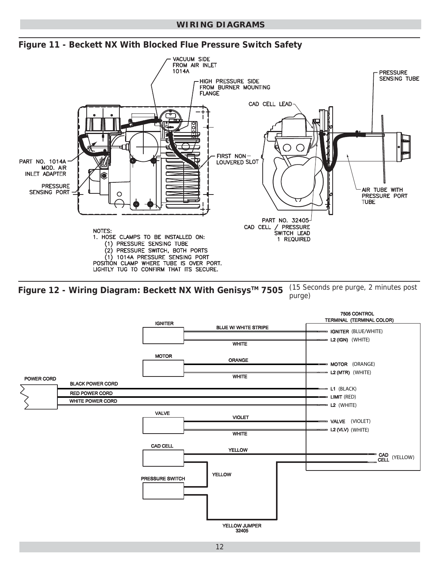# **Figure 11 - Beckett NX With Blocked Flue Pressure Switch Safety**



Figure 12 - Wiring Diagram: Beckett NX With Genisys<sup>™</sup> 7505 <sup>(15 Seconds pre purge, 2 minutes post</sup> purge)

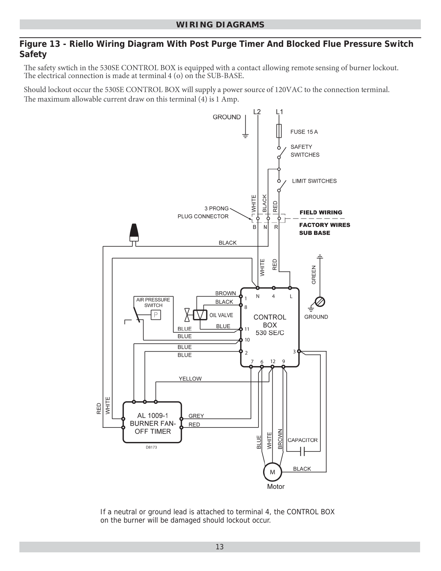## **Figure 13 - Riello Wiring Diagram With Post Purge Timer And Blocked Flue Pressure Switch Safety**

The safety swtich in the 530SE CONTROL BOX is equipped with a contact allowing remote sensing of burner lockout. The electrical connection is made at terminal 4 (o) on the SUB-BASE.

Should lockout occur the 530SE CONTROL BOX will supply a power source of 120VAC to the connection terminal. The maximum allowable current draw on this terminal (4) is 1 Amp.



If a neutral or ground lead is attached to terminal 4, the CONTROL BOX on the burner will be damaged should lockout occur.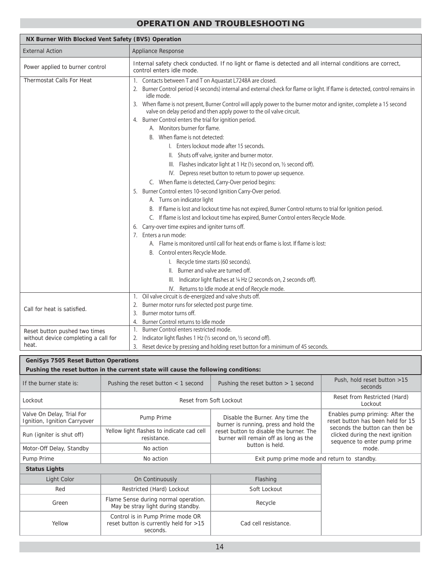| NX Burner With Blocked Vent Safety (BVS) Operation |                                                                                                                                                                                             |
|----------------------------------------------------|---------------------------------------------------------------------------------------------------------------------------------------------------------------------------------------------|
| <b>External Action</b>                             | Appliance Response                                                                                                                                                                          |
| Power applied to burner control                    | Internal safety check conducted. If no light or flame is detected and all internal conditions are correct,<br>control enters idle mode.                                                     |
| Thermostat Calls For Heat                          | 1. Contacts between T and T on Aquastat L7248A are closed.                                                                                                                                  |
|                                                    | 2. Burner Control period (4 seconds) internal and external check for flame or light. If flame is detected, control remains in<br>idle mode.                                                 |
|                                                    | 3. When flame is not present, Burner Control will apply power to the burner motor and igniter, complete a 15 second<br>valve on delay period and then apply power to the oil valve circuit. |
|                                                    | 4. Burner Control enters the trial for ignition period.                                                                                                                                     |
|                                                    | A. Monitors burner for flame.                                                                                                                                                               |
|                                                    | B. When flame is not detected:                                                                                                                                                              |
|                                                    | I. Enters lockout mode after 15 seconds.                                                                                                                                                    |
|                                                    | II. Shuts off valve, igniter and burner motor.                                                                                                                                              |
|                                                    | III. Flashes indicator light at 1 Hz (1/2 second on, 1/2 second off).                                                                                                                       |
|                                                    | IV. Depress reset button to return to power up sequence.                                                                                                                                    |
|                                                    | C. When flame is detected, Carry-Over period begins:                                                                                                                                        |
|                                                    | 5. Burner Control enters 10-second Ignition Carry-Over period.                                                                                                                              |
|                                                    | A. Turns on indicator light                                                                                                                                                                 |
|                                                    | B. If flame is lost and lockout time has not expired, Burner Control returns to trial for Ignition period.                                                                                  |
|                                                    | C. If flame is lost and lockout time has expired, Burner Control enters Recycle Mode.                                                                                                       |
|                                                    | 6. Carry-over time expires and igniter turns off.                                                                                                                                           |
|                                                    | 7. Enters a run mode:                                                                                                                                                                       |
|                                                    | A. Flame is monitored until call for heat ends or flame is lost. If flame is lost:                                                                                                          |
|                                                    | B. Control enters Recycle Mode.                                                                                                                                                             |
|                                                    | I. Recycle time starts (60 seconds).                                                                                                                                                        |
|                                                    | II. Burner and valve are turned off.                                                                                                                                                        |
|                                                    | III. Indicator light flashes at 1/4 Hz (2 seconds on, 2 seconds off).                                                                                                                       |
|                                                    | IV. Returns to Idle mode at end of Recycle mode.                                                                                                                                            |
|                                                    | Oil valve circuit is de-energized and valve shuts off.<br>1.                                                                                                                                |
| Call for heat is satisfied.                        | Burner motor runs for selected post purge time.<br>2.                                                                                                                                       |
|                                                    | Burner motor turns off.<br>3.                                                                                                                                                               |
|                                                    | Burner Control returns to Idle mode<br>4.                                                                                                                                                   |
| Reset button pushed two times                      | Burner Control enters restricted mode.<br>1.                                                                                                                                                |
| without device completing a call for<br>heat.      | Indicator light flashes 1 Hz (1/2 second on, 1/2 second off).                                                                                                                               |
|                                                    | Reset device by pressing and holding reset button for a minimum of 45 seconds.<br>3.                                                                                                        |

| <b>GeniSys 7505 Reset Button Operations</b>                                        |                                                                                        |                                                                                  |                                                                                                             |  |  |  |  |
|------------------------------------------------------------------------------------|----------------------------------------------------------------------------------------|----------------------------------------------------------------------------------|-------------------------------------------------------------------------------------------------------------|--|--|--|--|
| Pushing the reset button in the current state will cause the following conditions: |                                                                                        |                                                                                  |                                                                                                             |  |  |  |  |
| If the burner state is:                                                            | Pushing the reset button $<$ 1 second                                                  | Push, hold reset button >15<br>seconds                                           |                                                                                                             |  |  |  |  |
| Lockout                                                                            |                                                                                        | Reset from Soft Lockout                                                          | Reset from Restricted (Hard)<br>Lockout                                                                     |  |  |  |  |
| Valve On Delay, Trial For<br>Ignition, Ignition Carryover                          | Pump Prime                                                                             | Disable the Burner. Any time the<br>burner is running, press and hold the        | Enables pump priming: After the<br>reset button has been held for 15                                        |  |  |  |  |
| Run (igniter is shut off)                                                          | Yellow light flashes to indicate cad cell<br>resistance.                               | reset button to disable the burner. The<br>burner will remain off as long as the | seconds the button can then be<br>clicked during the next ignition<br>sequence to enter pump prime<br>mode. |  |  |  |  |
| Motor-Off Delay, Standby                                                           | No action                                                                              | button is held.                                                                  |                                                                                                             |  |  |  |  |
| Pump Prime                                                                         | No action                                                                              | Exit pump prime mode and return to standby.                                      |                                                                                                             |  |  |  |  |
| <b>Status Lights</b>                                                               |                                                                                        |                                                                                  |                                                                                                             |  |  |  |  |
| Light Color                                                                        | On Continuously                                                                        | Flashing                                                                         |                                                                                                             |  |  |  |  |
| Red                                                                                | Restricted (Hard) Lockout                                                              | Soft Lockout                                                                     |                                                                                                             |  |  |  |  |
| Green                                                                              | Flame Sense during normal operation.<br>May be stray light during standby.             | Recycle                                                                          |                                                                                                             |  |  |  |  |
| Yellow                                                                             | Control is in Pump Prime mode OR<br>reset button is currently held for >15<br>seconds. | Cad cell resistance.                                                             |                                                                                                             |  |  |  |  |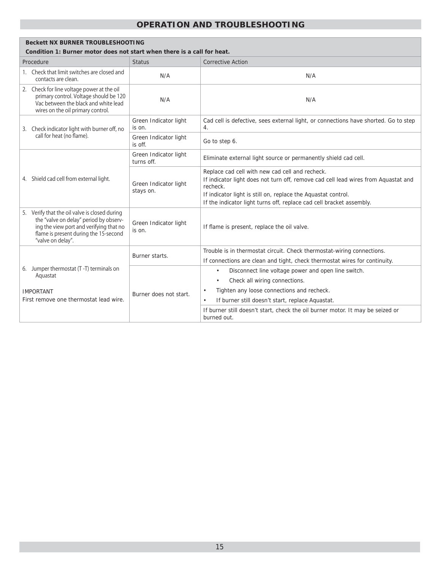| Beckett NX BURNER TROUBLESHOOTING<br>Condition 1: Burner motor does not start when there is a call for heat.                                                                                     |                                     |                                                                                                                                                                                                                                                                                                                                             |  |  |  |  |
|--------------------------------------------------------------------------------------------------------------------------------------------------------------------------------------------------|-------------------------------------|---------------------------------------------------------------------------------------------------------------------------------------------------------------------------------------------------------------------------------------------------------------------------------------------------------------------------------------------|--|--|--|--|
| Procedure                                                                                                                                                                                        | Status                              | <b>Corrective Action</b>                                                                                                                                                                                                                                                                                                                    |  |  |  |  |
| 1. Check that limit switches are closed and<br>contacts are clean.                                                                                                                               | N/A                                 | N/A                                                                                                                                                                                                                                                                                                                                         |  |  |  |  |
| 2. Check for line voltage power at the oil<br>primary control. Voltage should be 120<br>Vac between the black and white lead<br>wires on the oil primary control.                                | N/A                                 | N/A                                                                                                                                                                                                                                                                                                                                         |  |  |  |  |
| 3. Check indicator light with burner off, no                                                                                                                                                     | Green Indicator light<br>is on.     | Cad cell is defective, sees external light, or connections have shorted. Go to step<br>4.                                                                                                                                                                                                                                                   |  |  |  |  |
| call for heat (no flame).                                                                                                                                                                        | Green Indicator light<br>is off.    | Go to step 6.                                                                                                                                                                                                                                                                                                                               |  |  |  |  |
|                                                                                                                                                                                                  | Green Indicator light<br>turns off. | Eliminate external light source or permanently shield cad cell.                                                                                                                                                                                                                                                                             |  |  |  |  |
| 4. Shield cad cell from external light.                                                                                                                                                          | Green Indicator light<br>stays on.  | Replace cad cell with new cad cell and recheck.<br>If indicator light does not turn off, remove cad cell lead wires from Aquastat and<br>recheck.<br>If indicator light is still on, replace the Aquastat control.<br>If the indicator light turns off, replace cad cell bracket assembly.                                                  |  |  |  |  |
| 5. Verify that the oil valve is closed during<br>the "valve on delay" period by observ-<br>ing the view port and verifying that no<br>flame is present during the 15-second<br>"valve on delay". | Green Indicator light<br>is on.     | If flame is present, replace the oil valve.                                                                                                                                                                                                                                                                                                 |  |  |  |  |
|                                                                                                                                                                                                  | Burner starts.                      | Trouble is in thermostat circuit. Check thermostat-wiring connections.<br>If connections are clean and tight, check thermostat wires for continuity.                                                                                                                                                                                        |  |  |  |  |
| 6. Jumper thermostat (T-T) terminals on<br>Aquastat<br><b>IMPORTANT</b><br>First remove one thermostat lead wire.                                                                                | Burner does not start.              | Disconnect line voltage power and open line switch.<br>$\bullet$<br>Check all wiring connections.<br>$\bullet$<br>Tighten any loose connections and recheck.<br>$\bullet$<br>If burner still doesn't start, replace Aquastat.<br>$\bullet$<br>If burner still doesn't start, check the oil burner motor. It may be seized or<br>burned out. |  |  |  |  |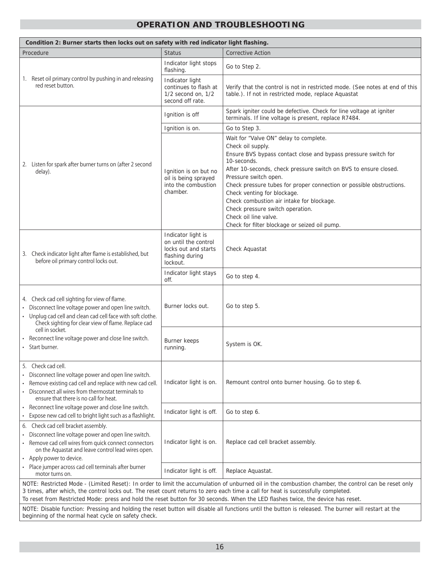| Condition 2: Burner starts then locks out on safety with red indicator light flashing.                                                                                                                                                        |                                                                                                   |                                                                                                                                                                                                                                                                                                                                                                                                                                                                                                             |  |  |  |
|-----------------------------------------------------------------------------------------------------------------------------------------------------------------------------------------------------------------------------------------------|---------------------------------------------------------------------------------------------------|-------------------------------------------------------------------------------------------------------------------------------------------------------------------------------------------------------------------------------------------------------------------------------------------------------------------------------------------------------------------------------------------------------------------------------------------------------------------------------------------------------------|--|--|--|
| Procedure                                                                                                                                                                                                                                     | <b>Status</b>                                                                                     | <b>Corrective Action</b>                                                                                                                                                                                                                                                                                                                                                                                                                                                                                    |  |  |  |
|                                                                                                                                                                                                                                               | Indicator light stops<br>flashing.                                                                | Go to Step 2.                                                                                                                                                                                                                                                                                                                                                                                                                                                                                               |  |  |  |
| 1. Reset oil primary control by pushing in and releasing<br>red reset button.                                                                                                                                                                 | Indicator light<br>continues to flash at<br>$1/2$ second on, $1/2$<br>second off rate.            | Verify that the control is not in restricted mode. (See notes at end of this<br>table.). If not in restricted mode, replace Aquastat                                                                                                                                                                                                                                                                                                                                                                        |  |  |  |
|                                                                                                                                                                                                                                               | Ignition is off                                                                                   | Spark igniter could be defective. Check for line voltage at igniter<br>terminals. If line voltage is present, replace R7484.                                                                                                                                                                                                                                                                                                                                                                                |  |  |  |
|                                                                                                                                                                                                                                               | Ignition is on.                                                                                   | Go to Step 3.                                                                                                                                                                                                                                                                                                                                                                                                                                                                                               |  |  |  |
| 2. Listen for spark after burner turns on (after 2 second<br>delay).                                                                                                                                                                          | Ignition is on but no<br>oil is being sprayed<br>into the combustion<br>chamber.                  | Wait for "Valve ON" delay to complete.<br>Check oil supply.<br>Ensure BVS bypass contact close and bypass pressure switch for<br>10-seconds.<br>After 10-seconds, check pressure switch on BVS to ensure closed.<br>Pressure switch open.<br>Check pressure tubes for proper connection or possible obstructions.<br>Check venting for blockage.<br>Check combustion air intake for blockage.<br>Check pressure switch operation.<br>Check oil line valve.<br>Check for filter blockage or seized oil pump. |  |  |  |
| 3. Check indicator light after flame is established, but<br>before oil primary control locks out.                                                                                                                                             | Indicator light is<br>on until the control<br>locks out and starts<br>flashing during<br>lockout. | Check Aquastat                                                                                                                                                                                                                                                                                                                                                                                                                                                                                              |  |  |  |
|                                                                                                                                                                                                                                               | Indicator light stays<br>off.                                                                     | Go to step 4.                                                                                                                                                                                                                                                                                                                                                                                                                                                                                               |  |  |  |
| 4. Check cad cell sighting for view of flame.<br>Disconnect line voltage power and open line switch.<br>• Unplug cad cell and clean cad cell face with soft clothe.<br>Check sighting for clear view of flame. Replace cad<br>cell in socket. | Burner locks out.                                                                                 | Go to step 5.                                                                                                                                                                                                                                                                                                                                                                                                                                                                                               |  |  |  |
| Reconnect line voltage power and close line switch.<br>• Start burner.                                                                                                                                                                        | Burner keeps<br>running.                                                                          | System is OK.                                                                                                                                                                                                                                                                                                                                                                                                                                                                                               |  |  |  |
| 5. Check cad cell.<br>Disconnect line voltage power and open line switch.<br>Remove existing cad cell and replace with new cad cell.<br>Disconnect all wires from thermostat terminals to<br>ensure that there is no call for heat.           | Indicator light is on.                                                                            | Remount control onto burner housing. Go to step 6.                                                                                                                                                                                                                                                                                                                                                                                                                                                          |  |  |  |
| Reconnect line voltage power and close line switch.<br>Expose new cad cell to bright light such as a flashlight.                                                                                                                              | Indicator light is off.                                                                           | Go to step 6.                                                                                                                                                                                                                                                                                                                                                                                                                                                                                               |  |  |  |
| 6. Check cad cell bracket assembly.<br>Disconnect line voltage power and open line switch.<br>Remove cad cell wires from quick connect connectors<br>on the Aquastat and leave control lead wires open.<br>Apply power to device.             | Indicator light is on.                                                                            | Replace cad cell bracket assembly.                                                                                                                                                                                                                                                                                                                                                                                                                                                                          |  |  |  |
| • Place jumper across cad cell terminals after burner<br>motor turns on.                                                                                                                                                                      | Indicator light is off.                                                                           | Replace Aquastat.                                                                                                                                                                                                                                                                                                                                                                                                                                                                                           |  |  |  |
| 3 times, after which, the control locks out. The reset count returns to zero each time a call for heat is successfully completed.                                                                                                             |                                                                                                   | NOTE: Restricted Mode - (Limited Reset): In order to limit the accumulation of unburned oil in the combustion chamber, the control can be reset only<br>To reset from Restricted Mode: press and hold the reset button for 30 seconds. When the LED flashes twice, the device has reset.                                                                                                                                                                                                                    |  |  |  |
| beginning of the normal heat cycle on safety check.                                                                                                                                                                                           |                                                                                                   | NOTE: Disable function: Pressing and holding the reset button will disable all functions until the button is released. The burner will restart at the                                                                                                                                                                                                                                                                                                                                                       |  |  |  |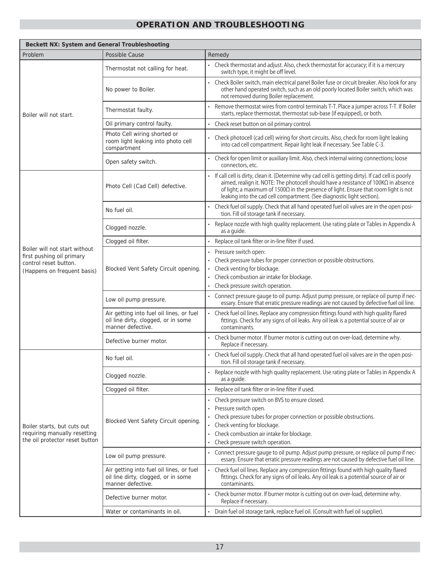| Beckett NX: System and General Troubleshooting                                                                     |                                                                                                      |                                                                                                                                                                                                                                                                                                                                                                            |  |  |
|--------------------------------------------------------------------------------------------------------------------|------------------------------------------------------------------------------------------------------|----------------------------------------------------------------------------------------------------------------------------------------------------------------------------------------------------------------------------------------------------------------------------------------------------------------------------------------------------------------------------|--|--|
| Problem                                                                                                            | Possible Cause                                                                                       | Remedy                                                                                                                                                                                                                                                                                                                                                                     |  |  |
| Boiler will not start.                                                                                             | Thermostat not calling for heat.                                                                     | • Check thermostat and adjust. Also, check thermostat for accuracy; if it is a mercury<br>switch type, it might be off level.                                                                                                                                                                                                                                              |  |  |
|                                                                                                                    | No power to Boiler.                                                                                  | • Check Boiler switch, main electrical panel Boiler fuse or circuit breaker. Also look for any<br>other hand operated switch, such as an old poorly located Boiler switch, which was<br>not removed during Boiler replacement.                                                                                                                                             |  |  |
|                                                                                                                    | Thermostat faulty.                                                                                   | • Remove thermostat wires from control terminals T-T. Place a jumper across T-T. If Boiler<br>starts, replace thermostat, thermostat sub-base (if equipped), or both.                                                                                                                                                                                                      |  |  |
|                                                                                                                    | Oil primary control faulty.                                                                          | Check reset button on oil primary control.                                                                                                                                                                                                                                                                                                                                 |  |  |
|                                                                                                                    | Photo Cell wiring shorted or<br>room light leaking into photo cell<br>compartment                    | Check photocell (cad cell) wiring for short circuits. Also, check for room light leaking<br>into cad cell compartment. Repair light leak if necessary. See Table C-3.                                                                                                                                                                                                      |  |  |
|                                                                                                                    | Open safety switch.                                                                                  | Check for open limit or auxiliary limit. Also, check internal wiring connections; loose<br>connectors, etc.                                                                                                                                                                                                                                                                |  |  |
|                                                                                                                    | Photo Cell (Cad Cell) defective.                                                                     | • If call cell is dirty, clean it. (Determine why cad cell is getting dirty). If cad cell is poorly<br>aimed, realign it. NOTE: The photocell should have a resistance of $100K\Omega$ in absence<br>of light; a maximum of $1500\Omega$ in the presence of light. Ensure that room light is not<br>leaking into the cad cell compartment. (See diagnostic light section). |  |  |
|                                                                                                                    | No fuel oil.                                                                                         | • Check fuel oil supply. Check that all hand operated fuel oil valves are in the open posi-<br>tion. Fill oil storage tank if necessary.                                                                                                                                                                                                                                   |  |  |
|                                                                                                                    | Clogged nozzle.                                                                                      | Replace nozzle with high quality replacement. Use rating plate or Tables in Appendix A<br>as a guide.                                                                                                                                                                                                                                                                      |  |  |
|                                                                                                                    | Clogged oil filter.                                                                                  | Replace oil tank filter or in-line filter if used.                                                                                                                                                                                                                                                                                                                         |  |  |
| Boiler will not start without<br>first pushing oil primary<br>control reset button.<br>(Happens on frequent basis) | Blocked Vent Safety Circuit opening.                                                                 | Pressure switch open:<br>$\bullet$<br>Check pressure tubes for proper connection or possible obstructions.<br>Check venting for blockage.<br>$\bullet$<br>Check combustion air intake for blockage.<br>$\bullet$<br>Check pressure switch operation.<br>$\bullet$                                                                                                          |  |  |
|                                                                                                                    | Low oil pump pressure.                                                                               | Connect pressure gauge to oil pump. Adjust pump pressure, or replace oil pump if nec-<br>essary. Ensure that erratic pressure readings are not caused by defective fuel oil line.                                                                                                                                                                                          |  |  |
|                                                                                                                    | Air getting into fuel oil lines, or fuel<br>oil line dirty, clogged, or in some<br>manner defective. | Check fuel oil lines. Replace any compression fittings found with high quality flared<br>fittings. Check for any signs of oil leaks. Any oil leak is a potential source of air or<br>contaminants.                                                                                                                                                                         |  |  |
|                                                                                                                    | Defective burner motor.                                                                              | • Check burner motor. If burner motor is cutting out on over-load, determine why.<br>Replace if necessary.                                                                                                                                                                                                                                                                 |  |  |
|                                                                                                                    | No fuel oil.                                                                                         | • Check fuel oil supply. Check that all hand operated fuel oil valves are in the open posi-<br>tion. Fill oil storage tank if necessary.                                                                                                                                                                                                                                   |  |  |
|                                                                                                                    | Clogged nozzle.                                                                                      | • Replace nozzle with high quality replacement. Use rating plate or Tables in Appendix A<br>as a guide.                                                                                                                                                                                                                                                                    |  |  |
|                                                                                                                    | Clogged oil filter.                                                                                  | • Replace oil tank filter or in-line filter if used.                                                                                                                                                                                                                                                                                                                       |  |  |
| Boiler starts, but cuts out<br>requiring manually resetting<br>the oil protector reset button                      | Blocked Vent Safety Circuit opening.                                                                 | Check pressure switch on BVS to ensure closed.<br>Pressure switch open.<br>Check pressure tubes for proper connection or possible obstructions.<br>Check venting for blockage.<br>Check combustion air intake for blockage.                                                                                                                                                |  |  |
|                                                                                                                    |                                                                                                      | Check pressure switch operation.<br>Connect pressure gauge to oil pump. Adjust pump pressure, or replace oil pump if nec-                                                                                                                                                                                                                                                  |  |  |
|                                                                                                                    | Low oil pump pressure.                                                                               | essary. Ensure that erratic pressure readings are not caused by defective fuel oil line.                                                                                                                                                                                                                                                                                   |  |  |
|                                                                                                                    | Air getting into fuel oil lines, or fuel<br>oil line dirty, clogged, or in some<br>manner defective. | • Check fuel oil lines. Replace any compression fittings found with high quality flared<br>fittings. Check for any signs of oil leaks. Any oil leak is a potential source of air or<br>contaminants.                                                                                                                                                                       |  |  |
|                                                                                                                    | Defective burner motor.                                                                              | Check burner motor. If burner motor is cutting out on over-load, determine why.<br>Replace if necessary.                                                                                                                                                                                                                                                                   |  |  |
|                                                                                                                    | Water or contaminants in oil.                                                                        | Drain fuel oil storage tank, replace fuel oil. (Consult with fuel oil supplier).                                                                                                                                                                                                                                                                                           |  |  |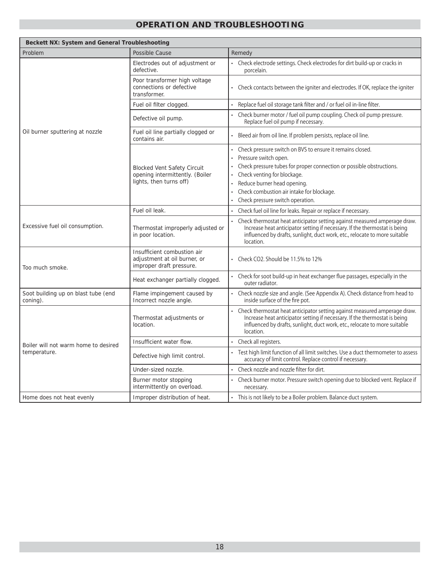| Beckett NX: System and General Troubleshooting  |                                                                                                  |                                                                                                                                                                                                                                                                                                                                                           |  |  |
|-------------------------------------------------|--------------------------------------------------------------------------------------------------|-----------------------------------------------------------------------------------------------------------------------------------------------------------------------------------------------------------------------------------------------------------------------------------------------------------------------------------------------------------|--|--|
| Problem                                         | Possible Cause                                                                                   | Remedy                                                                                                                                                                                                                                                                                                                                                    |  |  |
|                                                 | Electrodes out of adjustment or<br>defective.                                                    | • Check electrode settings. Check electrodes for dirt build-up or cracks in<br>porcelain.                                                                                                                                                                                                                                                                 |  |  |
|                                                 | Poor transformer high voltage<br>connections or defective<br>transformer.                        | • Check contacts between the igniter and electrodes. If OK, replace the igniter                                                                                                                                                                                                                                                                           |  |  |
|                                                 | Fuel oil filter clogged.                                                                         | Replace fuel oil storage tank filter and / or fuel oil in-line filter.                                                                                                                                                                                                                                                                                    |  |  |
|                                                 | Defective oil pump.                                                                              | Check burner motor / fuel oil pump coupling. Check oil pump pressure.<br>$\bullet$<br>Replace fuel oil pump if necessary.                                                                                                                                                                                                                                 |  |  |
| Oil burner sputtering at nozzle                 | Fuel oil line partially clogged or<br>contains air.                                              | Bleed air from oil line. If problem persists, replace oil line.                                                                                                                                                                                                                                                                                           |  |  |
|                                                 | <b>Blocked Vent Safety Circuit</b><br>opening intermittently. (Boiler<br>lights, then turns off) | Check pressure switch on BVS to ensure it remains closed.<br>Pressure switch open.<br>$\ddot{\phantom{0}}$<br>Check pressure tubes for proper connection or possible obstructions.<br>Check venting for blockage.<br>Reduce burner head opening.<br>Check combustion air intake for blockage.<br>$\ddot{\phantom{0}}$<br>Check pressure switch operation. |  |  |
|                                                 | Fuel oil leak.                                                                                   | Check fuel oil line for leaks. Repair or replace if necessary.<br>$\bullet$                                                                                                                                                                                                                                                                               |  |  |
| Excessive fuel oil consumption.                 | Thermostat improperly adjusted or<br>in poor location.                                           | Check thermostat heat anticipator setting against measured amperage draw.<br>$\ddot{\phantom{0}}$<br>Increase heat anticipator setting if necessary. If the thermostat is being<br>influenced by drafts, sunlight, duct work, etc., relocate to more suitable<br>location.                                                                                |  |  |
| Too much smoke.                                 | Insufficient combustion air<br>adjustment at oil burner, or<br>improper draft pressure.          | • Check CO2. Should be 11.5% to 12%                                                                                                                                                                                                                                                                                                                       |  |  |
|                                                 | Heat exchanger partially clogged.                                                                | Check for soot build-up in heat exchanger flue passages, especially in the<br>outer radiator.                                                                                                                                                                                                                                                             |  |  |
| Soot building up on blast tube (end<br>coning). | Flame impingement caused by<br>Incorrect nozzle angle.                                           | • Check nozzle size and angle. (See Appendix A). Check distance from head to<br>inside surface of the fire pot.                                                                                                                                                                                                                                           |  |  |
|                                                 | Thermostat adjustments or<br>location.                                                           | • Check thermostat heat anticipator setting against measured amperage draw.<br>Increase heat anticipator setting if necessary. If the thermostat is being<br>influenced by drafts, sunlight, duct work, etc., relocate to more suitable<br>location.                                                                                                      |  |  |
| Boiler will not warm home to desired            | Insufficient water flow.                                                                         | • Check all registers.                                                                                                                                                                                                                                                                                                                                    |  |  |
| temperature.                                    | Defective high limit control.                                                                    | Test high limit function of all limit switches. Use a duct thermometer to assess<br>accuracy of limit control. Replace control if necessary.                                                                                                                                                                                                              |  |  |
|                                                 | Under-sized nozzle.                                                                              | • Check nozzle and nozzle filter for dirt.                                                                                                                                                                                                                                                                                                                |  |  |
|                                                 | Burner motor stopping<br>intermittently on overload.                                             | • Check burner motor. Pressure switch opening due to blocked vent. Replace if<br>necessary.                                                                                                                                                                                                                                                               |  |  |
| Home does not heat evenly                       | Improper distribution of heat.                                                                   | • This is not likely to be a Boiler problem. Balance duct system.                                                                                                                                                                                                                                                                                         |  |  |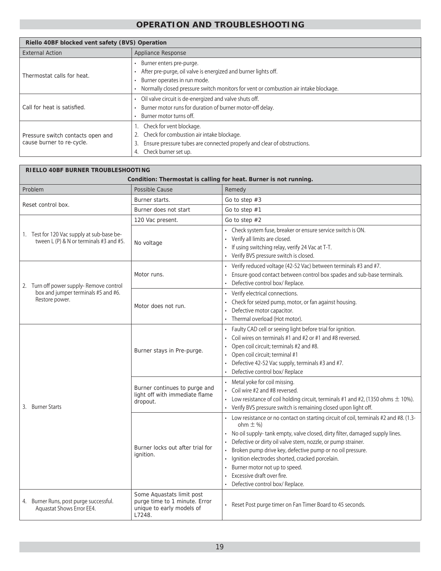| Riello 40BF blocked vent safety (BVS) Operation                                                                                                                                                                                                           |                                                                                                                                                                                                                                 |  |
|-----------------------------------------------------------------------------------------------------------------------------------------------------------------------------------------------------------------------------------------------------------|---------------------------------------------------------------------------------------------------------------------------------------------------------------------------------------------------------------------------------|--|
| <b>External Action</b>                                                                                                                                                                                                                                    | Appliance Response                                                                                                                                                                                                              |  |
| Thermostat calls for heat.                                                                                                                                                                                                                                | Burner enters pre-purge.<br>$\bullet$<br>After pre-purge, oil valve is energized and burner lights off.<br>Burner operates in run mode.<br>Normally closed pressure switch monitors for vent or combustion air intake blockage. |  |
| Call for heat is satisfied.                                                                                                                                                                                                                               | Oil valve circuit is de-energized and valve shuts off.<br>Burner motor runs for duration of burner motor-off delay.<br>$\bullet$<br>Burner motor turns off.                                                                     |  |
| 1. Check for vent blockage.<br>Check for combustion air intake blockage.<br>Pressure switch contacts open and<br>cause burner to re-cycle.<br>Ensure pressure tubes are connected properly and clear of obstructions.<br>3.<br>Check burner set up.<br>4. |                                                                                                                                                                                                                                 |  |

| <b>RIELLO 40BF BURNER TROUBLESHOOTING</b><br>Condition: Thermostat is calling for heat. Burner is not running. |                                                                                                   |                                                                                                                                                                                                                                                                                                                                                                                                                                                                                                                               |
|----------------------------------------------------------------------------------------------------------------|---------------------------------------------------------------------------------------------------|-------------------------------------------------------------------------------------------------------------------------------------------------------------------------------------------------------------------------------------------------------------------------------------------------------------------------------------------------------------------------------------------------------------------------------------------------------------------------------------------------------------------------------|
| Problem                                                                                                        | Possible Cause                                                                                    | Remedy                                                                                                                                                                                                                                                                                                                                                                                                                                                                                                                        |
| Reset control box.                                                                                             | Burner starts.                                                                                    | Go to step $#3$                                                                                                                                                                                                                                                                                                                                                                                                                                                                                                               |
|                                                                                                                | Burner does not start                                                                             | Go to step #1                                                                                                                                                                                                                                                                                                                                                                                                                                                                                                                 |
| 1. Test for 120 Vac supply at sub-base be-<br>tween L (P) & N or terminals #3 and #5.                          | 120 Vac present.                                                                                  | Go to step $#2$                                                                                                                                                                                                                                                                                                                                                                                                                                                                                                               |
|                                                                                                                | No voltage                                                                                        | • Check system fuse, breaker or ensure service switch is ON.<br>• Verify all limits are closed.<br>If using switching relay, verify 24 Vac at T-T.<br>Verify BVS pressure switch is closed.                                                                                                                                                                                                                                                                                                                                   |
| 2. Turn off power supply-Remove control<br>box and jumper terminals #5 and #6.<br>Restore power.               | Motor runs.                                                                                       | • Verify reduced voltage (42-52 Vac) between terminals #3 and #7.<br>Ensure good contact between control box spades and sub-base terminals.<br>Defective control box/ Replace.                                                                                                                                                                                                                                                                                                                                                |
|                                                                                                                | Motor does not run.                                                                               | Verify electrical connections.<br>Check for seized pump, motor, or fan against housing.<br>$\bullet$<br>Defective motor capacitor.<br>$\ddot{\phantom{0}}$<br>Thermal overload (Hot motor).                                                                                                                                                                                                                                                                                                                                   |
| 3. Burner Starts                                                                                               | Burner stays in Pre-purge.                                                                        | Faulty CAD cell or seeing light before trial for ignition.<br>Coil wires on terminals #1 and #2 or #1 and #8 reversed.<br>Open coil circuit; terminals #2 and #8.<br>$\bullet$<br>Open coil circuit; terminal #1<br>$\bullet$<br>Defective 42-52 Vac supply, terminals #3 and #7.<br>Defective control box/ Replace                                                                                                                                                                                                           |
|                                                                                                                | Burner continues to purge and<br>light off with immediate flame<br>dropout.                       | Metal yoke for coil missing.<br>• Coil wire #2 and #8 reversed.<br>• Low resistance of coil holding circuit, terminals #1 and #2, (1350 ohms $\pm$ 10%).<br>• Verify BVS pressure switch is remaining closed upon light off.                                                                                                                                                                                                                                                                                                  |
|                                                                                                                | Burner locks out after trial for<br>ignition.                                                     | • Low resistance or no contact on starting circuit of coil, terminals #2 and #8. (1.3-<br>ohm $\pm \%$ )<br>No oil supply-tank empty, valve closed, dirty filter, damaged supply lines.<br>Defective or dirty oil valve stem, nozzle, or pump strainer.<br>$\bullet$<br>Broken pump drive key, defective pump or no oil pressure.<br>$\bullet$<br>Ignition electrodes shorted, cracked porcelain.<br>$\bullet$<br>Burner motor not up to speed.<br>$\bullet$<br>Excessive draft over fire.<br>Defective control box/ Replace. |
| 4. Burner Runs, post purge successful.<br>Aquastat Shows Error EE4.                                            | Some Aquastats limit post<br>purge time to 1 minute. Error<br>unique to early models of<br>L7248. | Reset Post purge timer on Fan Timer Board to 45 seconds.                                                                                                                                                                                                                                                                                                                                                                                                                                                                      |